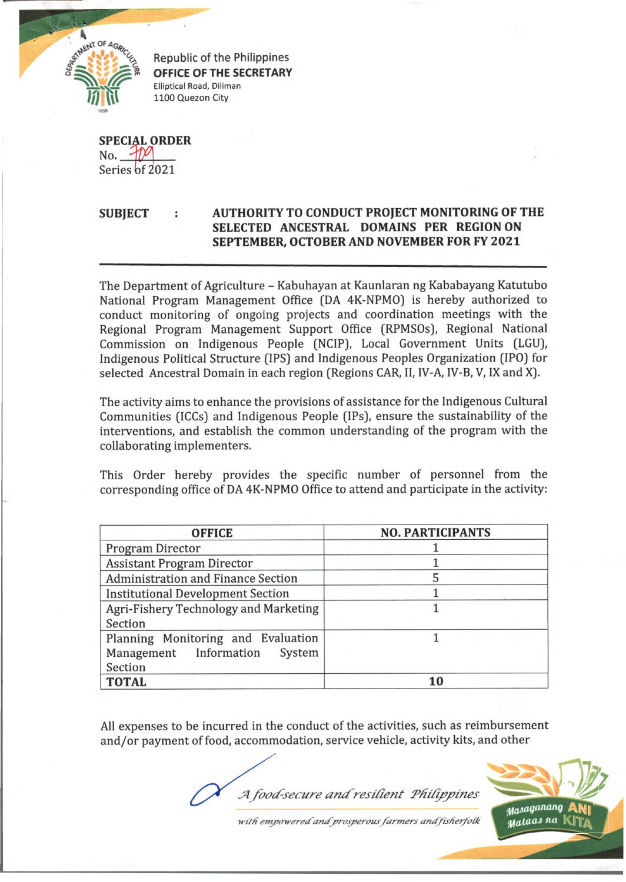

**Republic of the Philippines OFFICE OF THE SECRETARY** Elliptical Road, Diliman 1100 Quezon City

**SPECIAL ORDER**  $No.$   $M$ Series of 2021

## **SUBJECT : AUTHORITY TO CONDUCT PROJECT MONITORING OF THE SELECTED ANCESTRAL DOMAINS PER REGION ON SEPTEMBER, OCTOBER AND NOVEMBER FOR FY 2021**

The Department of Agriculture - Kabuhayan at Kaunlaran ng Kababayang Katutubo National Program Management Office (DA 4K-NPMO) is hereby authorized to conduct monitoring of ongoing projects and coordination meetings with the Regional Program Management Support Office (RPMSOs), Regional National Commission on Indigenous People (NCIP), Local Government Units (LGU), Indigenous Political Structure (IPS) and Indigenous Peoples Organization (IPO) for selected Ancestral Domain in each region (Regions CAR, II, IV-A, IV-B, V, IX and X).

The activity aims to enhance the provisions of assistance for the Indigenous Cultural Communities (ICCs) and Indigenous People (IPs), ensure the sustainability of the interventions, and establish the common understanding of the program with the collaborating implementers.

This Order hereby provides the specific number of personnel from the corresponding office of DA 4K-NPMO Office to attend and participate in the activity:

| <b>OFFICE</b>                             | <b>NO. PARTICIPANTS</b> |
|-------------------------------------------|-------------------------|
| Program Director                          |                         |
| <b>Assistant Program Director</b>         |                         |
| <b>Administration and Finance Section</b> | 5                       |
| <b>Institutional Development Section</b>  |                         |
| Agri-Fishery Technology and Marketing     |                         |
| Section                                   |                         |
| Planning Monitoring and Evaluation        |                         |
| Management Information System             |                         |
| Section                                   |                         |
| <b>TOTAL</b>                              | 10                      |

All expenses to be incurred in the conduct of the activities, such as reimbursement and/or payment of food, accommodation, service vehicle, activity kits, and other

*J4 food-secure a m f resilien t PH ilippines*



with empowered and prosperous farmers and fisherfolk